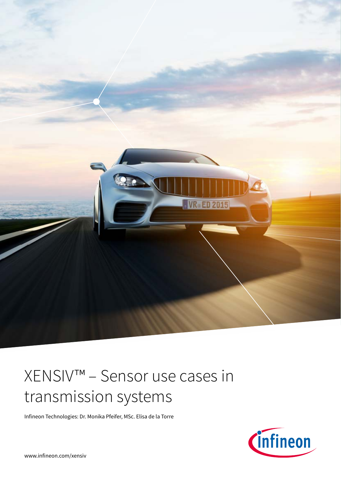

# XENSIV™ – Sensor use cases in transmission systems

Infineon Technologies: Dr. Monika Pfeifer, MSc. Elisa de la Torre

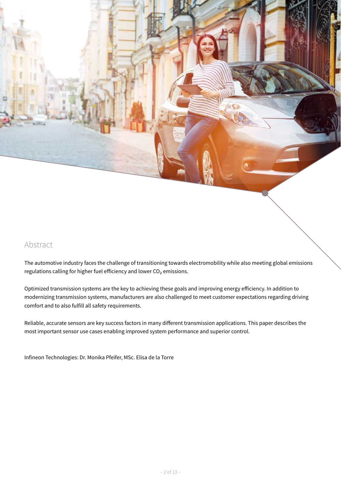## Abstract

The automotive industry faces the challenge of transitioning towards electromobility while also meeting global emissions regulations calling for higher fuel efficiency and lower  $CO<sub>2</sub>$  emissions.

Optimized transmission systems are the key to achieving these goals and improving energy efficiency. In addition to modernizing transmission systems, manufacturers are also challenged to meet customer expectations regarding driving comfort and to also fulfill all safety requirements.

Reliable, accurate sensors are key success factors in many different transmission applications. This paper describes the most important sensor use cases enabling improved system performance and superior control.

Infineon Technologies: Dr. Monika Pfeifer, MSc. Elisa de la Torre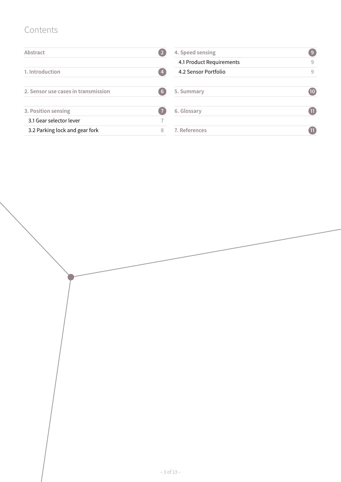# Contents

| Abstract                            |                 | 4. Speed sensing         | -9              |
|-------------------------------------|-----------------|--------------------------|-----------------|
|                                     |                 | 4.1 Product Requirements | 9               |
| 1. Introduction                     | -4              | 4.2 Sensor Portfolio     | 9               |
| 2. Sensor use cases in transmission | $6\overline{6}$ | 5. Summary               | $\overline{10}$ |
| 3. Position sensing                 |                 | 6. Glossary              | $\blacksquare$  |
| 3.1 Gear selector lever             |                 |                          |                 |
| 3.2 Parking lock and gear fork      | 8               | 7. References            |                 |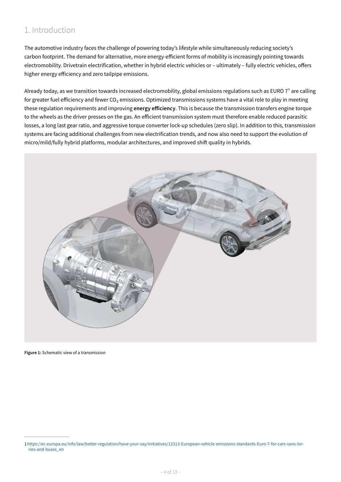# 1. Introduction

The automotive industry faces the challenge of powering today's lifestyle while simultaneously reducing society's carbon footprint. The demand for alternative, more energy-efficient forms of mobility is increasingly pointing towards electromobility. Drivetrain electrification, whether in hybrid electric vehicles or – ultimately – fully electric vehicles, offers higher energy efficiency and zero tailpipe emissions.

Already today, as we transition towards increased electromobility, global emissions regulations such as EURO  $7<sup>1</sup>$  are calling for greater fuel efficiency and fewer CO<sub>2</sub> emissions. Optimized transmissions systems have a vital role to play in meeting these regulation requirements and improving **energy efficiency**. This is because the transmission transfers engine torque to the wheels as the driver presses on the gas. An efficient transmission system must therefore enable reduced parasitic losses, a long last gear ratio, and aggressive torque converter lock-up schedules (zero slip). In addition to this, transmission systems are facing additional challenges from new electrification trends, and now also need to support the evolution of micro/mild/fully hybrid platforms, modular architectures, and improved shift quality in hybrids.



**Figure 1:** Schematic view of a transmission

<sup>1</sup>[https://ec.europa.eu/info/law/better-regulation/have-your-say/initiatives/12313-European-vehicle-emissions-standards-Euro-7-for-cars-vans-lor](https://ec.europa.eu/info/law/better-regulation/have-your-say/initiatives/12313-European-vehicle-emissions-standards-Euro-7-for-cars-vans-lorries-and-buses_en)[ries-and-buses\\_en](https://ec.europa.eu/info/law/better-regulation/have-your-say/initiatives/12313-European-vehicle-emissions-standards-Euro-7-for-cars-vans-lorries-and-buses_en)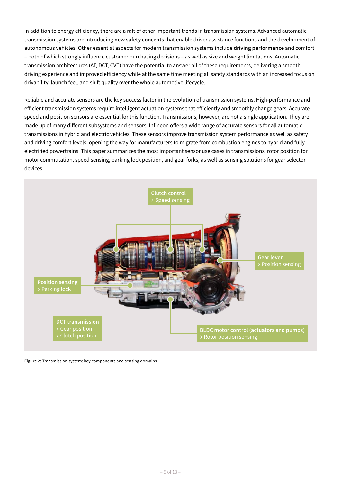In addition to energy efficiency, there are a raft of other important trends in transmission systems. Advanced automatic transmission systems are introducing **new safety concepts** that enable driver assistance functions and the development of autonomous vehicles. Other essential aspects for modern transmission systems include **driving performance** and comfort – both of which strongly influence customer purchasing decisions – as well as size and weight limitations. Automatic transmission architectures (AT, DCT, CVT) have the potential to answer all of these requirements, delivering a smooth driving experience and improved efficiency while at the same time meeting all safety standards with an increased focus on drivability, launch feel, and shift quality over the whole automotive lifecycle.

Reliable and accurate sensors are the key success factor in the evolution of transmission systems. High-performance and efficient transmission systems require intelligent actuation systems that efficiently and smoothly change gears. Accurate speed and position sensors are essential for this function. Transmissions, however, are not a single application. They are made up of many different subsystems and sensors. Infineon offers a wide range of accurate sensors for all automatic transmissions in hybrid and electric vehicles. These sensors improve transmission system performance as well as safety and driving comfort levels, opening the way for manufacturers to migrate from combustion engines to hybrid and fully electrified powertrains. This paper summarizes the most important sensor use cases in transmissions: rotor position for motor commutation, speed sensing, parking lock position, and gear forks, as well as sensing solutions for gear selector devices.



**Figure 2:** Transmission system: key components and sensing domains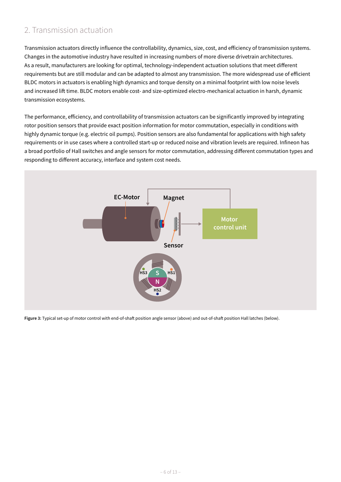## 2. Transmission actuation

Transmission actuators directly influence the controllability, dynamics, size, cost, and efficiency of transmission systems. Changes in the automotive industry have resulted in increasing numbers of more diverse drivetrain architectures. As a result, manufacturers are looking for optimal, technology-independent actuation solutions that meet different requirements but are still modular and can be adapted to almost any transmission. The more widespread use of efficient BLDC motors in actuators is enabling high dynamics and torque density on a minimal footprint with low noise levels and increased lift time. BLDC motors enable cost- and size-optimized electro-mechanical actuation in harsh, dynamic transmission ecosystems.

The performance, efficiency, and controllability of transmission actuators can be significantly improved by integrating rotor position sensors that provide exact position information for motor commutation, especially in conditions with highly dynamic torque (e.g. electric oil pumps). Position sensors are also fundamental for applications with high safety requirements or in use cases where a controlled start-up or reduced noise and vibration levels are required. Infineon has a broad portfolio of Hall switches and angle sensors for motor commutation, addressing different commutation types and responding to different accuracy, interface and system cost needs.



**Figure 3:** Typical set-up of motor control with end-of-shaft position angle sensor (above) and out-of-shaft position Hall latches (below).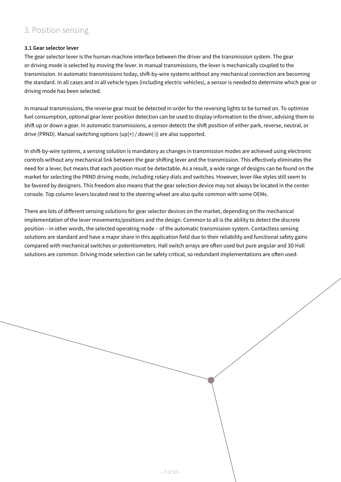## 3. Position sensing

## **3.1 Gear selector lever**

The gear selector lever is the human-machine interface between the driver and the transmission system. The gear or driving mode is selected by moving the lever. In manual transmissions, the lever is mechanically coupled to the transmission. In automatic transmissions today, shift-by-wire systems without any mechanical connection are becoming the standard. In all cases and in all vehicle types (including electric vehicles), a sensor is needed to determine which gear or driving mode has been selected.

In manual transmissions, the reverse gear must be detected in order for the reversing lights to be turned on. To optimize fuel consumption, optional gear lever position detection can be used to display information to the driver, advising them to shift up or down a gear. In automatic transmissions, a sensor detects the shift position of either park, reverse, neutral, or drive (PRND). Manual switching options (up(+) / down(-)) are also supported.

In shift-by-wire systems, a sensing solution is mandatory as changes in transmission modes are achieved using electronic controls without any mechanical link between the gear shifting lever and the transmission. This effectively eliminates the need for a lever, but means that each position must be detectable. As a result, a wide range of designs can be found on the market for selecting the PRND driving mode, including rotary dials and switches. However, lever-like styles still seem to be favored by designers. This freedom also means that the gear selection device may not always be located in the center console. Top column levers located next to the steering wheel are also quite common with some OEMs.

There are lots of different sensing solutions for gear selector devices on the market, depending on the mechanical implementation of the lever movements/positions and the design. Common to all is the ability to detect the discrete position – in other words, the selected operating mode – of the automatic transmission system. Contactless sensing solutions are standard and have a major share in this application field due to their reliability and functional safety gains compared with mechanical switches or potentiometers. Hall switch arrays are often used but pure angular and 3D Hall solutions are common. Driving mode selection can be safety critical, so redundant implementations are often used.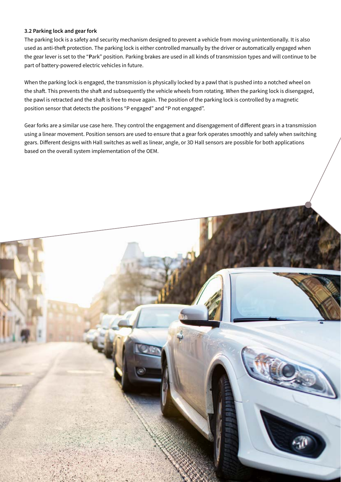## **3.2 Parking lock and gear fork**

The parking lock is a safety and security mechanism designed to prevent a vehicle from moving unintentionally. It is also used as anti-theft protection. The parking lock is either controlled manually by the driver or automatically engaged when the gear lever is set to the "**P**ark" position. Parking brakes are used in all kinds of transmission types and will continue to be part of battery-powered electric vehicles in future.

When the parking lock is engaged, the transmission is physically locked by a pawl that is pushed into a notched wheel on the shaft. This prevents the shaft and subsequently the vehicle wheels from rotating. When the parking lock is disengaged, the pawl is retracted and the shaft is free to move again. The position of the parking lock is controlled by a magnetic position sensor that detects the positions "P engaged" and "P not engaged".

Gear forks are a similar use case here. They control the engagement and disengagement of different gears in a transmission using a linear movement. Position sensors are used to ensure that a gear fork operates smoothly and safely when switching gears. Different designs with Hall switches as well as linear, angle, or 3D Hall sensors are possible for both applications based on the overall system implementation of the OEM.

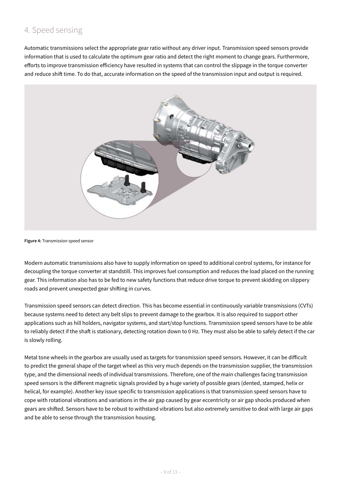## 4. Speed sensing

Automatic transmissions select the appropriate gear ratio without any driver input. Transmission speed sensors provide information that is used to calculate the optimum gear ratio and detect the right moment to change gears. Furthermore, efforts to improve transmission efficiency have resulted in systems that can control the slippage in the torque converter and reduce shift time. To do that, accurate information on the speed of the transmission input and output is required.



**Figure 4:** Transmission speed sensor

Modern automatic transmissions also have to supply information on speed to additional control systems, for instance for decoupling the torque converter at standstill. This improves fuel consumption and reduces the load placed on the running gear. This information also has to be fed to new safety functions that reduce drive torque to prevent skidding on slippery roads and prevent unexpected gear shifting in curves.

Transmission speed sensors can detect direction. This has become essential in continuously variable transmissions (CVTs) because systems need to detect any belt slips to prevent damage to the gearbox. It is also required to support other applications such as hill holders, navigator systems, and start/stop functions. Transmission speed sensors have to be able to reliably detect if the shaft is stationary, detecting rotation down to 0 Hz. They must also be able to safely detect if the car is slowly rolling.

Metal tone wheels in the gearbox are usually used as targets for transmission speed sensors. However, it can be difficult to predict the general shape of the target wheel as this very much depends on the transmission supplier, the transmission type, and the dimensional needs of individual transmissions. Therefore, one of the main challenges facing transmission speed sensors is the different magnetic signals provided by a huge variety of possible gears (dented, stamped, helix or helical, for example). Another key issue specific to transmission applications is that transmission speed sensors have to cope with rotational vibrations and variations in the air gap caused by gear eccentricity or air gap shocks produced when gears are shifted. Sensors have to be robust to withstand vibrations but also extremely sensitive to deal with large air gaps and be able to sense through the transmission housing.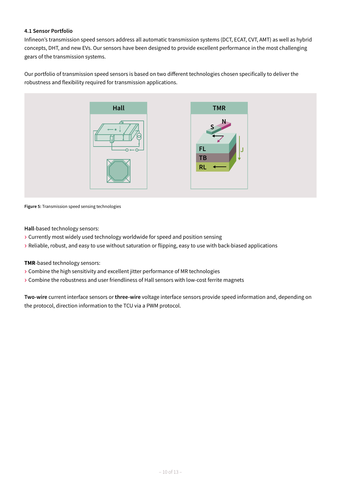## **4.1 Sensor Portfolio**

Infineon's transmission speed sensors address all automatic transmission systems (DCT, ECAT, CVT, AMT) as well as hybrid concepts, DHT, and new EVs. Our sensors have been designed to provide excellent performance in the most challenging gears of the transmission systems.

Our portfolio of transmission speed sensors is based on two different technologies chosen specifically to deliver the robustness and flexibility required for transmission applications.



**Figure 5:** Transmission speed sensing technologies

**Hall**-based technology sensors:

- › Currently most widely used technology worldwide for speed and position sensing
- › Reliable, robust, and easy to use without saturation or flipping, easy to use with back-biased applications

### **TMR**-based technology sensors:

- › Combine the high sensitivity and excellent jitter performance of MR technologies
- › Combine the robustness and user friendliness of Hall sensors with low-cost ferrite magnets

**Two-wire** current interface sensors or **three-wire** voltage interface sensors provide speed information and, depending on the protocol, direction information to the TCU via a PWM protocol.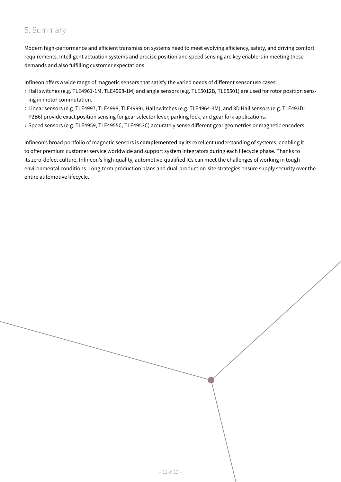# 5. Summary

Modern high-performance and efficient transmission systems need to meet evolving efficiency, safety, and driving comfort requirements. Intelligent actuation systems and precise position and speed sensing are key enablers in meeting these demands and also fulfilling customer expectations.

Infineon offers a wide range of magnetic sensors that satisfy the varied needs of different sensor use cases:

- › Hall switches (e.g. TLE4961-1M, TLE4968-1M) and angle sensors (e.g. TLE5012B, TLE5501) are used for rotor position sensing in motor commutation.
- › Linear sensors (e.g. TLE4997, TLE4998, TLE4999), Hall switches (e.g. TLE4964-3M), and 3D Hall sensors (e.g. TLE493D-P2B6) provide exact position sensing for gear selector lever, parking lock, and gear fork applications.
- › Speed sensors (e.g. TLE4959, TLE4955C, TLE4953C) accurately sense different gear geometries or magnetic encoders.

Infineon's broad portfolio of magnetic sensors is **complemented by** its excellent understanding of systems, enabling it to offer premium customer service worldwide and support system integrators during each lifecycle phase. Thanks to its zero-defect culture, Infineon's high-quality, automotive-qualified ICs can meet the challenges of working in tough environmental conditions. Long-term production plans and dual-production-site strategies ensure supply security over the entire automotive lifecycle.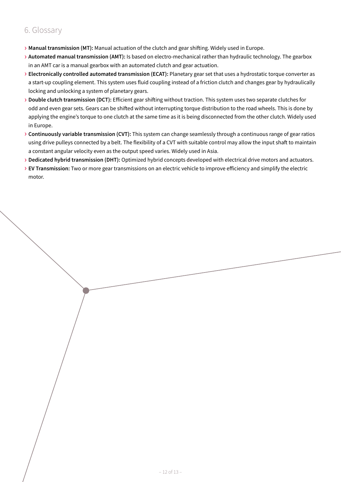# 6. Glossary

- › **Manual transmission (MT):** Manual actuation of the clutch and gear shifting. Widely used in Europe.
- › **Automated manual transmission (AMT):** Is based on electro-mechanical rather than hydraulic technology. The gearbox in an AMT car is a manual gearbox with an automated clutch and gear actuation.
- › **Electronically controlled automated transmission (ECAT):** Planetary gear set that uses a hydrostatic torque converter as a start-up coupling element. This system uses fluid coupling instead of a friction clutch and changes gear by hydraulically locking and unlocking a system of planetary gears.
- › **Double clutch transmission (DCT):** Efficient gear shifting without traction. This system uses two separate clutches for odd and even gear sets. Gears can be shifted without interrupting torque distribution to the road wheels. This is done by applying the engine's torque to one clutch at the same time as it is being disconnected from the other clutch. Widely used in Europe.
- › **Continuously variable transmission (CVT):** This system can change seamlessly through a continuous range of gear ratios using drive pulleys connected by a belt. The flexibility of a CVT with suitable control may allow the input shaft to maintain a constant angular velocity even as the output speed varies. Widely used in Asia.
- › **Dedicated hybrid transmission (DHT):** Optimized hybrid concepts developed with electrical drive motors and actuators.
- › **EV Transmission:** Two or more gear transmissions on an electric vehicle to improve efficiency and simplify the electric motor.